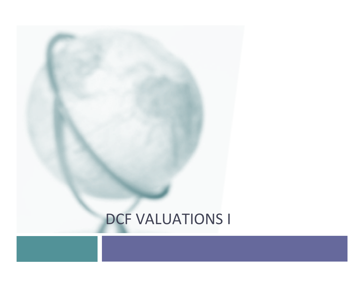## **DCF VALUATIONS I**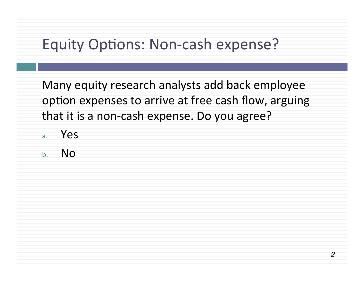## Equity Options: Non-cash expense?

Many equity research analysts add back employee option expenses to arrive at free cash flow, arguing that it is a non-cash expense. Do you agree?

- a. Yes
- b. No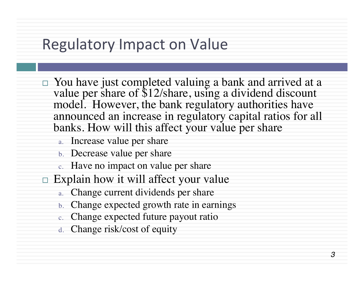## **Regulatory Impact on Value**

- □ You have just completed valuing a bank and arrived at a value per share of \$12/share, using a dividend discount model. However, the bank regulatory authorities have announced an increase in regulatory capital ratios for all banks. How will this affect your value per share
	- a. Increase value per share
	- b. Decrease value per share
	- c. Have no impact on value per share
- $\Box$  Explain how it will affect your value
	- a. Change current dividends per share
	- b. Change expected growth rate in earnings
	- c. Change expected future payout ratio
	- d. Change risk/cost of equity